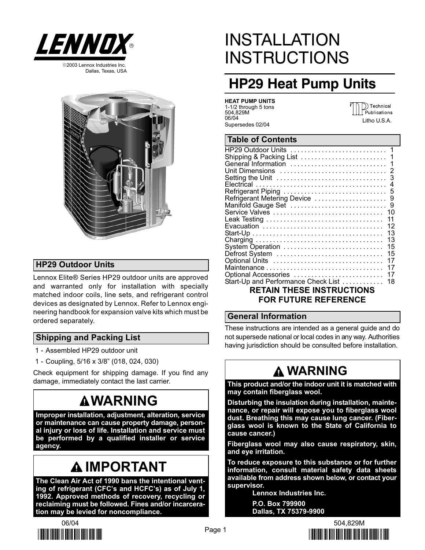

Dallas, Texas, USA



### HP29 Outdoor Units

Lennox Elite® Series HP29 outdoor units are approved and warranted only for installation with specially matched indoor coils, line sets, and refrigerant control devices as designated by Lennox. Refer to Lennox engineering handbook for expansion valve kits which must be ordered separately.

### Shipping and Packing List

- 1 − Assembled HP29 outdoor unit
- 1 − Coupling, 5/16 x 3/8" (018, 024, 030)

Check equipment for shipping damage. If you find any damage, immediately contact the last carrier.

## **AWARNING**

Improper installation, adjustment, alteration, service or maintenance can cause property damage, personal injury or loss of life. Installation and service must be performed by a qualified installer or service agency.

## **AIMPORTANT**

The Clean Air Act of 1990 bans the intentional venting of refrigerant (CFC's and HCFC's) as of July 1, 1992. Approved methods of recovery, recycling or reclaiming must be followed. Fines and/or incarceration may be levied for noncompliance.



# INSTALLATION **INSTRUCTIONS**

## HP29 Heat Pump Units

| <b>HEAT PUMP UNITS</b> |  |
|------------------------|--|
| 1-1/2 through 5 tons   |  |
| 504.829M               |  |
| 06/04                  |  |
| Supersedes 02/04       |  |

)) Technical Publications Litho U.S.A.

#### Table of Contents

|                                     | 12 |
|-------------------------------------|----|
|                                     | 13 |
|                                     | 13 |
| System Operation                    | 15 |
| Defrost System                      | 15 |
| Optional Units                      | 17 |
|                                     | 17 |
| Optional Accessories                | 17 |
| Start-Up and Performance Check List | 18 |
| <b>RETAIN THESE INSTRUCTIONS</b>    |    |
|                                     |    |
| <b>FOR FUTURE REFERENCE</b>         |    |

#### General Information

These instructions are intended as a general guide and do not supersede national or local codes in any way. Authorities having jurisdiction should be consulted before installation.

## WARNING

This product and/or the indoor unit it is matched with may contain fiberglass wool.

Disturbing the insulation during installation, maintenance, or repair will expose you to fiberglass wool dust. Breathing this may cause lung cancer. (Fiberglass wool is known to the State of California to cause cancer.)

Fiberglass wool may also cause respiratory, skin, and eye irritation.

To reduce exposure to this substance or for further information, consult material safety data sheets available from address shown below, or contact your supervisor.

Lennox Industries Inc. P.O. Box 799900

Dallas, TX 75379−9900

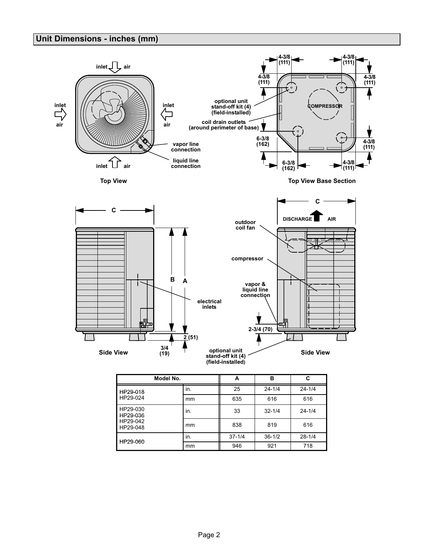### Unit Dimensions − inches (mm)



| Model No.                                    | . . | А          | в          | C          |
|----------------------------------------------|-----|------------|------------|------------|
| HP29-018                                     | in. | 25         | $24 - 1/4$ | $24 - 1/4$ |
| HP29-024                                     | mm  | 635        | 616        | 616        |
| HP29-030<br>HP29-036<br>HP29-042<br>HP29-048 | in. | 33         | $32 - 1/4$ | $24 - 1/4$ |
|                                              | mm  | 838        | 819        | 616        |
| HP29-060                                     | in. | $37 - 1/4$ | $36 - 1/2$ | $28 - 1/4$ |
|                                              | mm  | 946        | 921        | 718        |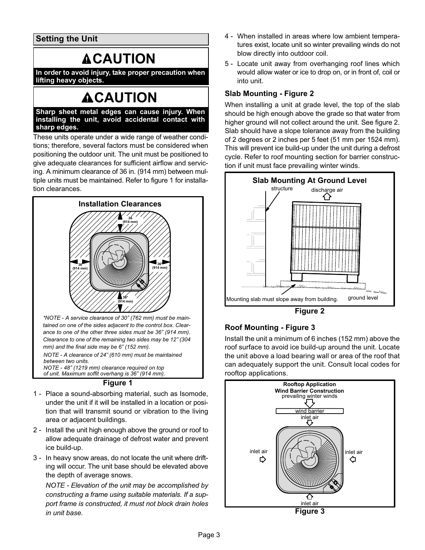Setting the Unit

## **ACAUTION**

In order to avoid injury, take proper precaution when lifting heavy objects.

## **ACAUTION**

Sharp sheet metal edges can cause injury. When installing the unit, avoid accidental contact with sharp edges.

These units operate under a wide range of weather conditions; therefore, several factors must be considered when positioning the outdoor unit. The unit must be positioned to give adequate clearances for sufficient airflow and servicing. A minimum clearance of 36 in. (914 mm) between multiple units must be maintained. Refer to figure 1 for installation clearances.



tained on one of the sides adjacent to the control box. Clearance to one of the other three sides must be 36" (914 mm). Clearance to one of the remaining two sides may be 12" (304 mm) and the final side may be 6" (152 mm).

NOTE − A clearance of 24" (610 mm) must be maintained between two units. NOTE − 48" (1219 mm) clearance required on top

of unit. Maximum soffit overhang is 36" (914 mm).



- 1 − Place a sound-absorbing material, such as Isomode, under the unit if it will be installed in a location or position that will transmit sound or vibration to the living area or adjacent buildings.
- 2 − Install the unit high enough above the ground or roof to allow adequate drainage of defrost water and prevent ice build-up.
- 3 − In heavy snow areas, do not locate the unit where drifting will occur. The unit base should be elevated above the depth of average snows.

NOTE − Elevation of the unit may be accomplished by constructing a frame using suitable materials. If a support frame is constructed, it must not block drain holes in unit base.

- 4 − When installed in areas where low ambient temperatures exist, locate unit so winter prevailing winds do not blow directly into outdoor coil.
- 5 − Locate unit away from overhanging roof lines which would allow water or ice to drop on, or in front of, coil or into unit.

### Slab Mounting − Figure 2

When installing a unit at grade level, the top of the slab should be high enough above the grade so that water from higher ground will not collect around the unit. See figure 2. Slab should have a slope tolerance away from the building of 2 degrees or 2 inches per 5 feet (51 mm per 1524 mm). This will prevent ice build−up under the unit during a defrost cycle. Refer to roof mounting section for barrier construction if unit must face prevailing winter winds.



Figure 2

### Roof Mounting − Figure 3

Install the unit a minimum of 6 inches (152 mm) above the roof surface to avoid ice build−up around the unit. Locate the unit above a load bearing wall or area of the roof that can adequately support the unit. Consult local codes for rooftop applications.

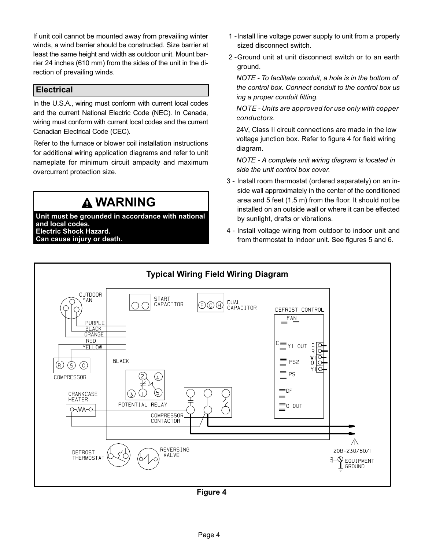If unit coil cannot be mounted away from prevailing winter winds, a wind barrier should be constructed. Size barrier at least the same height and width as outdoor unit. Mount barrier 24 inches (610 mm) from the sides of the unit in the direction of prevailing winds.

### **Electrical**

In the U.S.A., wiring must conform with current local codes and the current National Electric Code (NEC). In Canada, wiring must conform with current local codes and the current Canadian Electrical Code (CEC).

Refer to the furnace or blower coil installation instructions for additional wiring application diagrams and refer to unit nameplate for minimum circuit ampacity and maximum overcurrent protection size.

## **A WARNING**

Unit must be grounded in accordance with national and local codes. Electric Shock Hazard. Can cause injury or death.

- 1 −Install line voltage power supply to unit from a properly sized disconnect switch.
- 2 −Ground unit at unit disconnect switch or to an earth ground.

NOTE − To facilitate conduit, a hole is in the bottom of the control box. Connect conduit to the control box us ing a proper conduit fitting.

NOTE − Units are approved for use only with copper conductors.

24V, Class II circuit connections are made in the low voltage junction box. Refer to figure 4 for field wiring diagram.

NOTE − A complete unit wiring diagram is located in side the unit control box cover.

- 3 − Install room thermostat (ordered separately) on an inside wall approximately in the center of the conditioned area and 5 feet (1.5 m) from the floor. It should not be installed on an outside wall or where it can be effected by sunlight, drafts or vibrations.
- 4 − Install voltage wiring from outdoor to indoor unit and from thermostat to indoor unit. See figures [5](#page-4-0) and [6.](#page-4-0)

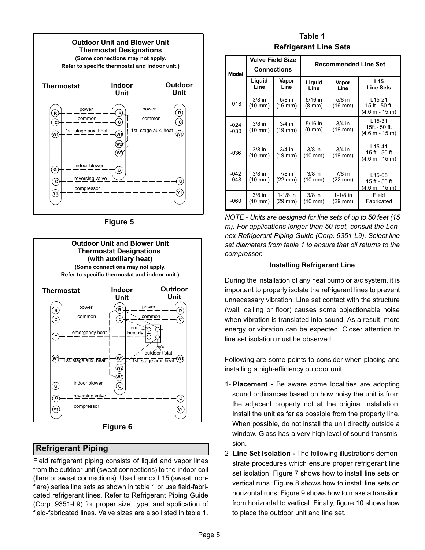<span id="page-4-0"></span>![](_page_4_Figure_0.jpeg)

Figure 5

![](_page_4_Figure_2.jpeg)

Figure 6

### Refrigerant Piping

Field refrigerant piping consists of liquid and vapor lines from the outdoor unit (sweat connections) to the indoor coil (flare or sweat connections). Use Lennox L15 (sweat, nonflare) series line sets as shown in table 1 or use field-fabricated refrigerant lines. Refer to Refrigerant Piping Guide (Corp. 9351−L9) for proper size, type, and application of field−fabricated lines. Valve sizes are also listed in table 1.

### Table 1 Refrigerant Line Sets

| Model            |                                 | <b>Valve Field Size</b><br><b>Connections</b>                                    |                               | <b>Recommended Line Set</b>                   |                                                         |  |  |  |
|------------------|---------------------------------|----------------------------------------------------------------------------------|-------------------------------|-----------------------------------------------|---------------------------------------------------------|--|--|--|
|                  | Liquid<br>Vapor<br>Line<br>Line |                                                                                  | Liquid<br>Line                |                                               | L <sub>15</sub><br><b>Line Sets</b>                     |  |  |  |
| $-018$           | $3/8$ in<br>$(10 \text{ mm})$   | $5/8$ in<br>$(16 \text{ mm})$                                                    | $5/16$ in<br>$(8 \text{ mm})$ | $5/8$ in<br>$(16 \text{ mm})$                 | $L15-21$<br>15 ft.- 50 ft.<br>(4.6 m - 15 m)            |  |  |  |
| $-024$<br>$-030$ | $3/8$ in<br>(10 mm)             | $5/16$ in<br>$3/4$ in<br>$3/4$ in<br>(19 mm)<br>$(8 \text{ mm})$<br>$(19$ mm $)$ |                               | $L15-31$<br>15ft.- 50 ft.<br>$(4.6 m - 15 m)$ |                                                         |  |  |  |
| $-036$           | $3/8$ in<br>$(10 \text{ mm})$   | $3/4$ in<br>(19 mm)                                                              | $3/8$ in<br>$(10 \text{ mm})$ | $3/4$ in<br>$(19$ mm $)$                      | $L15-41$<br>15 ft. - 50 ft<br>$(4.6 m - 15 m)$          |  |  |  |
| $-042$<br>$-048$ | $3/8$ in<br>(10 mm)             | $7/8$ in<br>(22 mm)                                                              | $3/8$ in<br>$(10 \text{ mm})$ | $7/8$ in<br>$(22 \text{ mm})$                 | L <sub>15</sub> -65<br>15 ft. - 50 ft<br>(4.6 m - 15 m) |  |  |  |
| $-060$           | $3/8$ in<br>(10 mm)             | $1-1/8$ in<br>(29 mm)                                                            | $3/8$ in<br>$(10 \text{ mm})$ | $1-1/8$ in<br>$(29 \text{ mm})$               | Field<br>Fabricated                                     |  |  |  |

NOTE − Units are designed for line sets of up to 50 feet (15 m). For applications longer than 50 feet, consult the Lennox Refrigerant Piping Guide (Corp. 9351−L9). Select line set diameters from table 1 to ensure that oil returns to the compressor.

#### Installing Refrigerant Line

During the installation of any heat pump or a/c system, it is important to properly isolate the refrigerant lines to prevent unnecessary vibration. Line set contact with the structure (wall, ceiling or floor) causes some objectionable noise when vibration is translated into sound. As a result, more energy or vibration can be expected. Closer attention to line set isolation must be observed.

Following are some points to consider when placing and installing a high−efficiency outdoor unit:

- 1- Placement − Be aware some localities are adopting sound ordinances based on how noisy the unit is from the adjacent property not at the original installation. Install the unit as far as possible from the property line. When possible, do not install the unit directly outside a window. Glass has a very high level of sound transmission.
- 2- Line Set Isolation The following illustrations demonstrate procedures which ensure proper refrigerant line set isolation. Figure [7](#page-5-0) shows how to install line sets on vertical runs. Figure [8](#page-6-0) shows how to install line sets on horizontal runs. Figure [9](#page-7-0) shows how to make a transition from horizontal to vertical. Finally, figure [10](#page-7-0) shows how to place the outdoor unit and line set.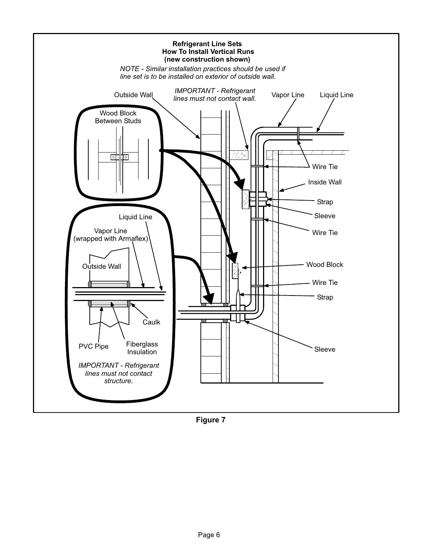<span id="page-5-0"></span>![](_page_5_Figure_0.jpeg)

Figure 7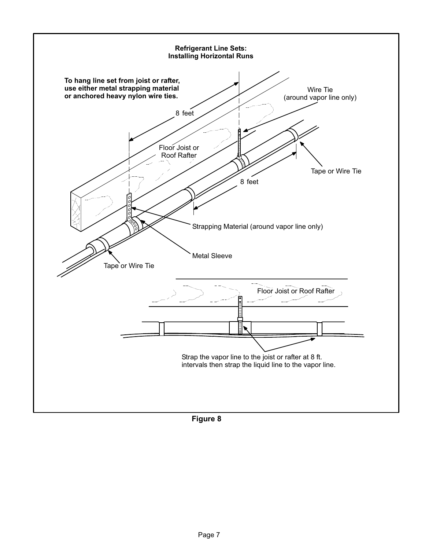<span id="page-6-0"></span>![](_page_6_Figure_0.jpeg)

Figure 8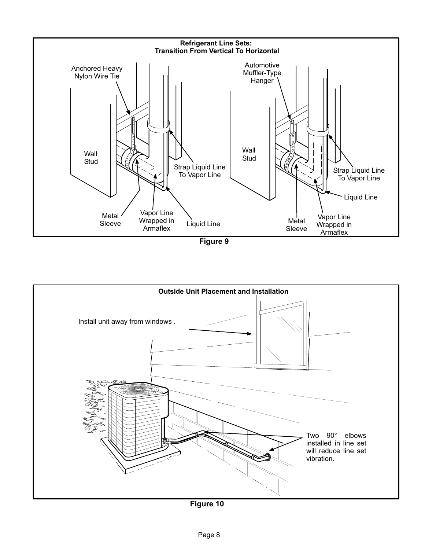<span id="page-7-0"></span>![](_page_7_Figure_0.jpeg)

Figure 9

![](_page_7_Figure_2.jpeg)

Figure 10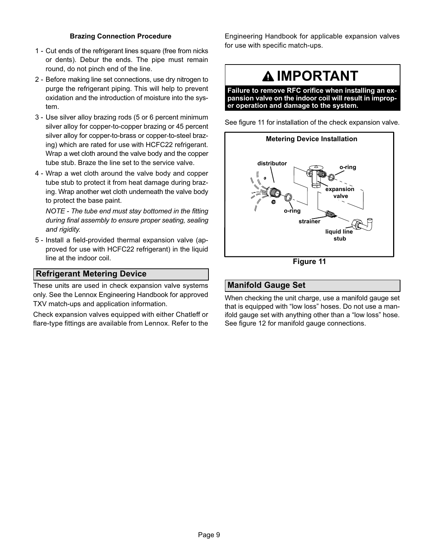#### Brazing Connection Procedure

- 1 − Cut ends of the refrigerant lines square (free from nicks or dents). Debur the ends. The pipe must remain round, do not pinch end of the line.
- 2 − Before making line set connections, use dry nitrogen to purge the refrigerant piping. This will help to prevent oxidation and the introduction of moisture into the system.
- 3 − Use silver alloy brazing rods (5 or 6 percent minimum silver alloy for copper−to−copper brazing or 45 percent silver alloy for copper−to−brass or copper−to−steel brazing) which are rated for use with HCFC22 refrigerant. Wrap a wet cloth around the valve body and the copper tube stub. Braze the line set to the service valve.
- 4 − Wrap a wet cloth around the valve body and copper tube stub to protect it from heat damage during brazing. Wrap another wet cloth underneath the valve body to protect the base paint.

NOTE − The tube end must stay bottomed in the fitting during final assembly to ensure proper seating, sealing and rigidity.

 5 − Install a field−provided thermal expansion valve (approved for use with HCFC22 refrigerant) in the liquid line at the indoor coil.

### Refrigerant Metering Device

These units are used in check expansion valve systems only. See the Lennox Engineering Handbook for approved TXV match-ups and application information.

Check expansion valves equipped with either Chatleff or flare−type fittings are available from Lennox. Refer to the

Engineering Handbook for applicable expansion valves for use with specific match-ups.

### **A IMPORTANT**

Failure to remove RFC orifice when installing an expansion valve on the indoor coil will result in improper operation and damage to the system.

See figure 11 for installation of the check expansion valve.

![](_page_8_Figure_14.jpeg)

Figure 11

### Manifold Gauge Set

When checking the unit charge, use a manifold gauge set that is equipped with "low loss" hoses. Do not use a manifold gauge set with anything other than a "low loss" hose. See figure [12](#page-9-0) for manifold gauge connections.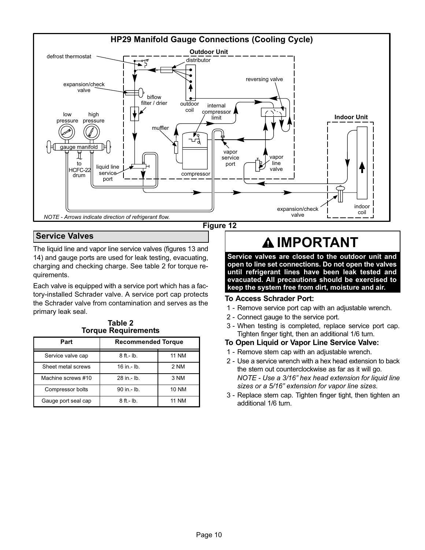<span id="page-9-0"></span>![](_page_9_Figure_0.jpeg)

### Service Valves

The liquid line and vapor line service valves (figures [13](#page-10-0) and [14\)](#page-10-0) and gauge ports are used for leak testing, evacuating, charging and checking charge. See table 2 for torque requirements.

Each valve is equipped with a service port which has a factory−installed Schrader valve. A service port cap protects the Schrader valve from contamination and serves as the primary leak seal.

Table 2 Torque Requirements

| Part                | <b>Recommended Torque</b> |              |  |  |  |
|---------------------|---------------------------|--------------|--|--|--|
| Service valve cap   | $8$ ft - lb.              | <b>11 NM</b> |  |  |  |
| Sheet metal screws  | $16$ in $-$ lb.           | 2 NM         |  |  |  |
| Machine screws #10  | 28 in - lb.               | 3 NM         |  |  |  |
| Compressor bolts    | 90 in - lb.               | <b>10 NM</b> |  |  |  |
| Gauge port seal cap | $8$ ft - lb.              | <b>11 NM</b> |  |  |  |

## **AIMPORTANT**

Service valves are closed to the outdoor unit and open to line set connections. Do not open the valves until refrigerant lines have been leak tested and evacuated. All precautions should be exercised to keep the system free from dirt, moisture and air.

#### To Access Schrader Port:

- 1 − Remove service port cap with an adjustable wrench.
- 2 − Connect gauge to the service port.
- 3 − When testing is completed, replace service port cap. Tighten finger tight, then an additional 1/6 turn.

#### To Open Liquid or Vapor Line Service Valve:

- 1 − Remove stem cap with an adjustable wrench.
- 2 − Use a service wrench with a hex head extension to back the stem out counterclockwise as far as it will go. NOTE − Use a 3/16" hex head extension for liquid line sizes or a 5/16" extension for vapor line sizes.
- 3 − Replace stem cap. Tighten finger tight, then tighten an additional 1/6 turn.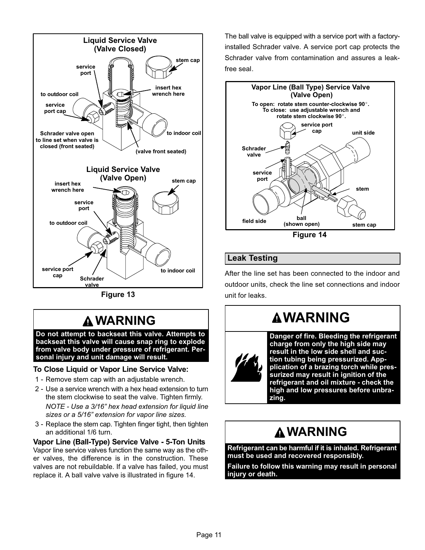<span id="page-10-0"></span>![](_page_10_Figure_0.jpeg)

Figure 13

## WARNING

Do not attempt to backseat this valve. Attempts to backseat this valve will cause snap ring to explode from valve body under pressure of refrigerant. Personal injury and unit damage will result.

#### To Close Liquid or Vapor Line Service Valve:

- 1 − Remove stem cap with an adjustable wrench.
- 2 − Use a service wrench with a hex head extension to turn the stem clockwise to seat the valve. Tighten firmly. NOTE − Use a 3/16" hex head extension for liquid line sizes or a 5/16" extension for vapor line sizes.
- 3 − Replace the stem cap. Tighten finger tight, then tighten an additional 1/6 turn.

Vapor Line (Ball−Type) Service Valve − 5−Ton Units Vapor line service valves function the same way as the other valves, the difference is in the construction. These valves are not rebuildable. If a valve has failed, you must replace it. A ball valve valve is illustrated in figure 14.

The ball valve is equipped with a service port with a factory− installed Schrader valve. A service port cap protects the Schrader valve from contamination and assures a leak− free seal.

![](_page_10_Figure_10.jpeg)

### Leak Testing

After the line set has been connected to the indoor and outdoor units, check the line set connections and indoor unit for leaks.

## **AWARNING**

![](_page_10_Picture_14.jpeg)

Danger of fire. Bleeding the refrigerant charge from only the high side may result in the low side shell and suction tubing being pressurized. Appplication of a brazing torch while pressurized may result in ignition of the refrigerant and oil mixture − check the high and low pressures before unbrazing.

### WARNING

Refrigerant can be harmful if it is inhaled. Refrigerant must be used and recovered responsibly.

Failure to follow this warning may result in personal injury or death.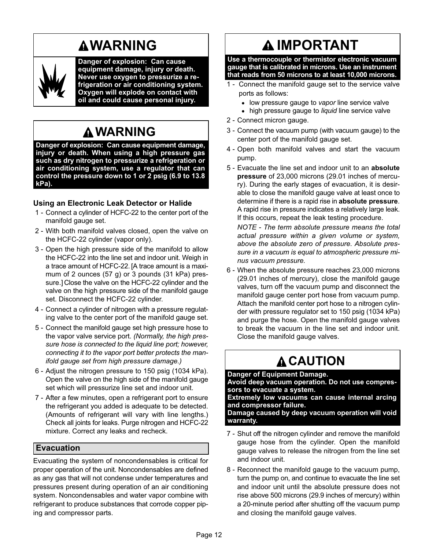## **AWARNING**

![](_page_11_Picture_1.jpeg)

Danger of explosion: Can cause equipment damage, injury or death. Never use oxygen to pressurize a refrigeration or air conditioning system. Oxygen will explode on contact with oil and could cause personal injury.

### WARNING

Danger of explosion: Can cause equipment damage, injury or death. When using a high pressure gas such as dry nitrogen to pressurize a refrigeration or air conditioning system, use a regulator that can control the pressure down to 1 or 2 psig (6.9 to 13.8 kPa).

### Using an Electronic Leak Detector or Halide

- 1 − Connect a cylinder of HCFC-22 to the center port of the manifold gauge set.
- 2 − With both manifold valves closed, open the valve on the HCFC-22 cylinder (vapor only).
- 3 − Open the high pressure side of the manifold to allow the HCFC-22 into the line set and indoor unit. Weigh in a trace amount of HCFC-22. [A trace amount is a maximum of 2 ounces (57 g) or 3 pounds (31 kPa) pressure.] Close the valve on the HCFC-22 cylinder and the valve on the high pressure side of the manifold gauge set. Disconnect the HCFC-22 cylinder.
- 4 − Connect a cylinder of nitrogen with a pressure regulating valve to the center port of the manifold gauge set.
- 5 − Connect the manifold gauge set high pressure hose to the vapor valve service port. (Normally, the high pressure hose is connected to the liquid line port; however, connecting it to the vapor port better protects the manifold gauge set from high pressure damage.)
- 6 − Adjust the nitrogen pressure to 150 psig (1034 kPa). Open the valve on the high side of the manifold gauge set which will pressurize line set and indoor unit.
- 7 − After a few minutes, open a refrigerant port to ensure the refrigerant you added is adequate to be detected. (Amounts of refrigerant will vary with line lengths.) Check all joints for leaks. Purge nitrogen and HCFC-22 mixture. Correct any leaks and recheck.

### Evacuation

Evacuating the system of noncondensables is critical for proper operation of the unit. Noncondensables are defined as any gas that will not condense under temperatures and pressures present during operation of an air conditioning system. Noncondensables and water vapor combine with refrigerant to produce substances that corrode copper piping and compressor parts.

## IMPORTANT

Use a thermocouple or thermistor electronic vacuum gauge that is calibrated in microns. Use an instrument that reads from 50 microns to at least 10,000 microns.

- 1 Connect the manifold gauge set to the service valve ports as follows:
	- low pressure gauge to vapor line service valve
	- high pressure gauge to liquid line service valve
- 2 − Connect micron gauge.
- 3 − Connect the vacuum pump (with vacuum gauge) to the center port of the manifold gauge set.
- 4 − Open both manifold valves and start the vacuum pump.
- 5 Evacuate the line set and indoor unit to an absolute pressure of 23,000 microns (29.01 inches of mercury). During the early stages of evacuation, it is desirable to close the manifold gauge valve at least once to determine if there is a rapid rise in absolute pressure. A rapid rise in pressure indicates a relatively large leak. If this occurs, repeat the leak testing procedure.

NOTE − The term absolute pressure means the total actual pressure within a given volume or system, above the absolute zero of pressure. Absolute pressure in a vacuum is equal to atmospheric pressure minus vacuum pressure.

 6 − When the absolute pressure reaches 23,000 microns (29.01 inches of mercury), close the manifold gauge valves, turn off the vacuum pump and disconnect the manifold gauge center port hose from vacuum pump. Attach the manifold center port hose to a nitrogen cylinder with pressure regulator set to 150 psig (1034 kPa) and purge the hose. Open the manifold gauge valves to break the vacuum in the line set and indoor unit. Close the manifold gauge valves.

## **A CAUTION**

#### Danger of Equipment Damage.

Avoid deep vacuum operation. Do not use compressors to evacuate a system.

Extremely low vacuums can cause internal arcing and compressor failure.

Damage caused by deep vacuum operation will void warranty.

- 7 Shut off the nitrogen cylinder and remove the manifold gauge hose from the cylinder. Open the manifold gauge valves to release the nitrogen from the line set and indoor unit.
- 8 Reconnect the manifold gauge to the vacuum pump, turn the pump on, and continue to evacuate the line set and indoor unit until the absolute pressure does not rise above 500 microns (29.9 inches of mercury) within a 20−minute period after shutting off the vacuum pump and closing the manifold gauge valves.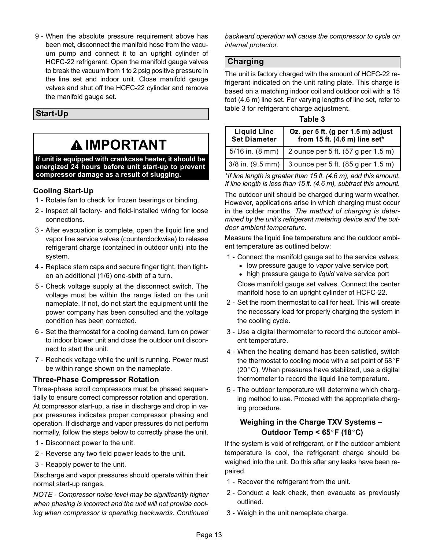9 - When the absolute pressure requirement above has been met, disconnect the manifold hose from the vacuum pump and connect it to an upright cylinder of HCFC-22 refrigerant. Open the manifold gauge valves to break the vacuum from 1 to 2 psig positive pressure in the line set and indoor unit. Close manifold gauge valves and shut off the HCFC-22 cylinder and remove the manifold gauge set.

### Start−Up

## IMPORTANT

If unit is equipped with crankcase heater, it should be energized 24 hours before unit start−up to prevent compressor damage as a result of slugging.

### Cooling Start-Up

- 1 Rotate fan to check for frozen bearings or binding.
- 2 Inspect all factory- and field-installed wiring for loose connections.
- 3 − After evacuation is complete, open the liquid line and vapor line service valves (counterclockwise) to release refrigerant charge (contained in outdoor unit) into the system.
- 4 − Replace stem caps and secure finger tight, then tighten an additional (1/6) one-sixth of a turn.
- 5 − Check voltage supply at the disconnect switch. The voltage must be within the range listed on the unit nameplate. If not, do not start the equipment until the power company has been consulted and the voltage condition has been corrected.
- 6 − Set the thermostat for a cooling demand, turn on power to indoor blower unit and close the outdoor unit disconnect to start the unit.
- 7 Recheck voltage while the unit is running. Power must be within range shown on the nameplate.

#### Three-Phase Compressor Rotation

Three-phase scroll compressors must be phased sequentially to ensure correct compressor rotation and operation. At compressor start-up, a rise in discharge and drop in vapor pressures indicates proper compressor phasing and operation. If discharge and vapor pressures do not perform normally, follow the steps below to correctly phase the unit.

- 1 − Disconnect power to the unit.
- 2 − Reverse any two field power leads to the unit.
- 3 Reapply power to the unit.

Discharge and vapor pressures should operate within their normal start-up ranges.

NOTE − Compressor noise level may be significantly higher when phasing is incorrect and the unit will not provide cooling when compressor is operating backwards. Continued backward operation will cause the compressor to cycle on internal protector.

### Charging

The unit is factory charged with the amount of HCFC-22 refrigerant indicated on the unit rating plate. This charge is based on a matching indoor coil and outdoor coil with a 15 foot (4.6 m) line set. For varying lengths of line set, refer to table 3 for refrigerant charge adjustment.

| o | וסו |  |
|---|-----|--|
|   |     |  |

| <b>Liquid Line</b><br><b>Set Diameter</b> | Oz. per 5 ft. (g per 1.5 m) adjust<br>from 15 ft. (4.6 m) line set* |
|-------------------------------------------|---------------------------------------------------------------------|
| $5/16$ in. $(8 \text{ mm})$               | 2 ounce per 5 ft. (57 g per 1.5 m)                                  |
| $3/8$ in. (9.5 mm)                        | 3 ounce per 5 ft. (85 g per 1.5 m)                                  |

\*If line length is greater than 15 ft. (4.6 m), add this amount. If line length is less than 15 ft. (4.6 m), subtract this amount.

The outdoor unit should be charged during warm weather. However, applications arise in which charging must occur in the colder months. The method of charging is determined by the unit's refrigerant metering device and the outdoor ambient temperature.

Measure the liquid line temperature and the outdoor ambient temperature as outlined below:

- 1 Connect the manifold gauge set to the service valves:
	- low pressure gauge to vapor valve service port
	- high pressure gauge to *liquid* valve service port

Close manifold gauge set valves. Connect the center manifold hose to an upright cylinder of HCFC-22.

- 2 − Set the room thermostat to call for heat. This will create the necessary load for properly charging the system in the cooling cycle.
- 3 − Use a digital thermometer to record the outdoor ambient temperature.
- 4 − When the heating demand has been satisfied, switch the thermostat to cooling mode with a set point of  $68^{\circ}$ F (20°C). When pressures have stabilized, use a digital thermometer to record the liquid line temperature.
- 5 − The outdoor temperature will determine which charging method to use. Proceed with the appropriate charging procedure.

### Weighing in the Charge TXV Systems – Outdoor Temp <  $65^{\circ}$ F (18 $^{\circ}$ C)

If the system is void of refrigerant, or if the outdoor ambient temperature is cool, the refrigerant charge should be weighed into the unit. Do this after any leaks have been repaired.

- 1 Recover the refrigerant from the unit.
- 2 Conduct a leak check, then evacuate as previously outlined.
- 3 − Weigh in the unit nameplate charge.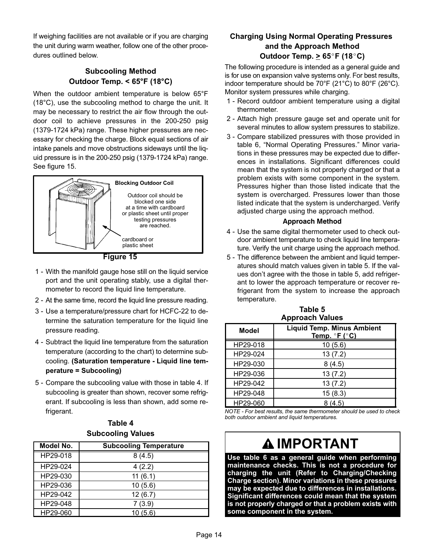If weighing facilities are not available or if you are charging the unit during warm weather, follow one of the other procedures outlined below.

### Subcooling Method Outdoor Temp. < 65°F (18°C)

When the outdoor ambient temperature is below 65°F (18°C), use the subcooling method to charge the unit. It may be necessary to restrict the air flow through the outdoor coil to achieve pressures in the 200−250 psig (1379−1724 kPa) range. These higher pressures are necessary for checking the charge. Block equal sections of air intake panels and move obstructions sideways until the liquid pressure is in the 200−250 psig (1379−1724 kPa) range. See figure 15.

![](_page_13_Figure_3.jpeg)

Figure 15

- 1 − With the manifold gauge hose still on the liquid service port and the unit operating stably, use a digital thermometer to record the liquid line temperature.
- 2 At the same time, record the liquid line pressure reading.
- 3 − Use a temperature/pressure chart for HCFC-22 to determine the saturation temperature for the liquid line pressure reading.
- 4 − Subtract the liquid line temperature from the saturation temperature (according to the chart) to determine subcooling. (Saturation temperature − Liquid line temperature = Subcooling)
- 5 Compare the subcooling value with those in table 4. If subcooling is greater than shown, recover some refrigerant. If subcooling is less than shown, add some refrigerant.

### Table 4 Subcooling Values

| Model No. | <b>Subcooling Temperature</b> |
|-----------|-------------------------------|
| HP29-018  | 8(4.5)                        |
| HP29-024  | 4(2.2)                        |
| HP29-030  | 11(6.1)                       |
| HP29-036  | 10(5.6)                       |
| HP29-042  | 12(6.7)                       |
| HP29-048  | 7(3.9)                        |
| HP29-060  | (5.6)                         |

### Charging Using Normal Operating Pressures and the Approach Method Outdoor Temp.  $\geq 65^{\circ}$ F (18°C)

The following procedure is intended as a general guide and is for use on expansion valve systems only. For best results, indoor temperature should be 70°F (21°C) to 80°F (26°C). Monitor system pressures while charging.

- 1 − Record outdoor ambient temperature using a digital thermometer.
- 2 − Attach high pressure gauge set and operate unit for several minutes to allow system pressures to stabilize.
- 3 − Compare stabilized pressures with those provided in table [6](#page-14-0), "Normal Operating Pressures." Minor variations in these pressures may be expected due to differences in installations. Significant differences could mean that the system is not properly charged or that a problem exists with some component in the system. Pressures higher than those listed indicate that the system is overcharged. Pressures lower than those listed indicate that the system is undercharged. Verify adjusted charge using the approach method.

#### Approach Method

- 4 − Use the same digital thermometer used to check outdoor ambient temperature to check liquid line temperature. Verify the unit charge using the approach method.
- 5 − The difference between the ambient and liquid temperatures should match values given in table 5. If the values don't agree with the those in table 5, add refrigerant to lower the approach temperature or recover refrigerant from the system to increase the approach temperature.

| <b>Approach Values</b> |                                                    |  |  |  |  |
|------------------------|----------------------------------------------------|--|--|--|--|
| <b>Model</b>           | <b>Liquid Temp. Minus Ambient</b><br>Temp. °F (°C) |  |  |  |  |
| HP29-018               | 10(5.6)                                            |  |  |  |  |
| HP29-024               | 13(7.2)                                            |  |  |  |  |
| HP29-030               | 8(4.5)                                             |  |  |  |  |
| HP29-036               | 13(7.2)                                            |  |  |  |  |
| HP29-042               | 13(7.2)                                            |  |  |  |  |
| HP29-048               | 15(8.3)                                            |  |  |  |  |
| HP29-060               | 8(4.5)                                             |  |  |  |  |

Table 5 Approach Values

NOTE − For best results, the same thermometer should be used to check both outdoor ambient and liquid temperatures.

## IMPORTANT

Use table [6](#page-14-0) as a general guide when performing maintenance checks. This is not a procedure for charging the unit (Refer to Charging/Checking Charge section). Minor variations in these pressures may be expected due to differences in installations. Significant differences could mean that the system is not properly charged or that a problem exists with some component in the system.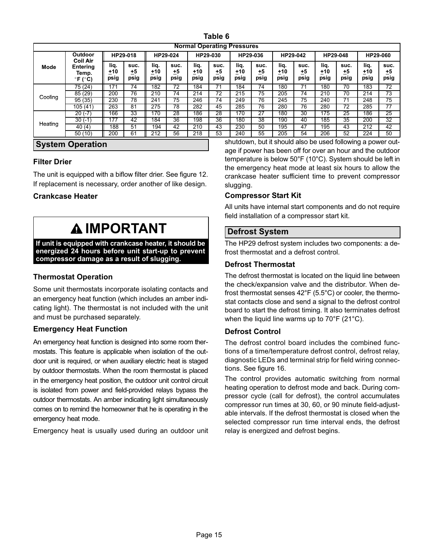| Table |  |
|-------|--|
|-------|--|

<span id="page-14-0"></span>

| <b>Normal Operating Pressures</b> |                                                 |                     |                    |                     |                    |                     |                    |                     |                    |                     |                    |                     |                      |                     |                           |
|-----------------------------------|-------------------------------------------------|---------------------|--------------------|---------------------|--------------------|---------------------|--------------------|---------------------|--------------------|---------------------|--------------------|---------------------|----------------------|---------------------|---------------------------|
| <b>Outdoor</b><br><b>Coil Air</b> |                                                 |                     | HP29-018           |                     | HP29-024           | HP29-030            |                    |                     | HP29-036           |                     | HP29-042           | HP29-048            |                      |                     | HP29-060                  |
| Mode                              | Entering<br>Temp.<br>$\degree$ F ( $\degree$ C) | liq.<br>+10<br>psig | suc.<br>±5<br>psig | lig.<br>+10<br>psig | suc.<br>+5<br>psig | lig.<br>+10<br>psig | suc.<br>±5<br>psig | liq.<br>+10<br>psig | suc.<br>±5<br>psig | lig.<br>±10<br>psig | suc.<br>+5<br>psig | liq.<br>+10<br>psig | suc.<br>$+5$<br>psig | liq.<br>+10<br>psig | suc.<br><u>+5</u><br>psig |
|                                   | 75 (24)                                         | 171                 | 74                 | 182                 | 72                 | 184                 | 71                 | 184                 | 74                 | 180                 |                    | 180                 | 70                   | 183                 | 72                        |
| Cooling                           | 85 (29)                                         | 200                 | 76                 | 210                 | 74                 | 214                 | 72                 | 215                 | $\overline{75}$    | 205                 | 74                 | 210                 | 70                   | 214                 | 73                        |
|                                   | 95(35)                                          | 230                 | 78                 | 241                 | 75                 | 246                 | 74                 | 249                 | 76                 | 245                 | 75                 | 240                 | 71                   | 248                 | 75                        |
|                                   | 105 (41)                                        | 263                 | 81                 | 275                 | 78                 | 282                 | 45                 | 285                 | 76                 | 280                 | 76                 | 280                 | 72                   | 285                 | 77                        |
|                                   | $20( -7)$                                       | 166                 | 33                 | 170                 | 28                 | 186                 | 28                 | 170                 | 27                 | 180                 | 30                 | 175                 | 25                   | 186                 | $\overline{25}$           |
|                                   | $30(-1)$                                        | 177                 | 42                 | 184                 | 36                 | 198                 | 36                 | 180                 | 38                 | 190                 | 40                 | 185                 | 35                   | 200                 | $\overline{32}$           |
| Heating                           | 40(4)                                           | 188                 | 51                 | 194                 | 42                 | 210                 | 43                 | 230                 | 50                 | 195                 | 47                 | 195                 | 43                   | 212                 | 42                        |
|                                   | 50 (10)                                         | 200                 | 61                 | 212                 | 56                 | 218                 | 53                 | 240                 | 55                 | 205                 | 54                 | 206                 | 52                   | 224                 | 50                        |

#### System Operation

### Filter Drier

The unit is equipped with a biflow filter drier. See figure [12](#page-9-0). If replacement is necessary, order another of like design.

### Crankcase Heater

## **AIMPORTANT**

If unit is equipped with crankcase heater, it should be energized 24 hours before unit start−up to prevent compressor damage as a result of slugging.

### Thermostat Operation

Some unit thermostats incorporate isolating contacts and an emergency heat function (which includes an amber indicating light). The thermostat is not included with the unit and must be purchased separately.

#### Emergency Heat Function

An emergency heat function is designed into some room thermostats. This feature is applicable when isolation of the outdoor unit is required, or when auxiliary electric heat is staged by outdoor thermostats. When the room thermostat is placed in the emergency heat position, the outdoor unit control circuit is isolated from power and field-provided relays bypass the outdoor thermostats. An amber indicating light simultaneously comes on to remind the homeowner that he is operating in the emergency heat mode.

Emergency heat is usually used during an outdoor unit

shutdown, but it should also be used following a power outage if power has been off for over an hour and the outdoor temperature is below 50°F (10°C). System should be left in the emergency heat mode at least six hours to allow the crankcase heater sufficient time to prevent compressor slugging.

#### Compressor Start Kit

All units have internal start components and do not require field installation of a compressor start kit.

### Defrost System

The HP29 defrost system includes two components: a defrost thermostat and a defrost control.

#### Defrost Thermostat

The defrost thermostat is located on the liquid line between the check/expansion valve and the distributor. When defrost thermostat senses 42°F (5.5°C) or cooler, the thermostat contacts close and send a signal to the defrost control board to start the defrost timing. It also terminates defrost when the liquid line warms up to 70°F (21°C).

#### Defrost Control

The defrost control board includes the combined functions of a time/temperature defrost control, defrost relay, diagnostic LEDs and terminal strip for field wiring connections. See figure [16.](#page-15-0)

The control provides automatic switching from normal heating operation to defrost mode and back. During compressor cycle (call for defrost), the control accumulates compressor run times at 30, 60, or 90 minute field−adjustable intervals. If the defrost thermostat is closed when the selected compressor run time interval ends, the defrost relay is energized and defrost begins.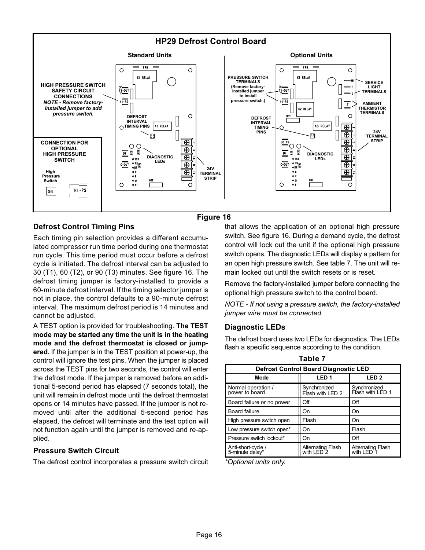<span id="page-15-0"></span>![](_page_15_Figure_0.jpeg)

### Figure 16

### Defrost Control Timing Pins

Each timing pin selection provides a different accumulated compressor run time period during one thermostat run cycle. This time period must occur before a defrost cycle is initiated. The defrost interval can be adjusted to 30 (T1), 60 (T2), or 90 (T3) minutes. See figure 16. The defrost timing jumper is factory−installed to provide a 60−minute defrost interval. If the timing selector jumper is not in place, the control defaults to a 90−minute defrost interval. The maximum defrost period is 14 minutes and cannot be adjusted.

A TEST option is provided for troubleshooting. The TEST mode may be started any time the unit is in the heating mode and the defrost thermostat is closed or jumpered. If the jumper is in the TEST position at power-up, the control will ignore the test pins. When the jumper is placed across the TEST pins for two seconds, the control will enter the defrost mode. If the jumper is removed before an additional 5−second period has elapsed (7 seconds total), the unit will remain in defrost mode until the defrost thermostat opens or 14 minutes have passed. If the jumper is not removed until after the additional 5−second period has elapsed, the defrost will terminate and the test option will not function again until the jumper is removed and re−applied.

#### Pressure Switch Circuit

The defrost control incorporates a pressure switch circuit

that allows the application of an optional high pressure switch. See figure 16. During a demand cycle, the defrost control will lock out the unit if the optional high pressure switch opens. The diagnostic LEDs will display a pattern for an open high pressure switch. See table 7. The unit will remain locked out until the switch resets or is reset.

Remove the factory-installed jumper before connecting the optional high pressure switch to the control board.

NOTE − If not using a pressure switch, the factory-installed jumper wire must be connected.

#### Diagnostic LEDs

The defrost board uses two LEDs for diagnostics. The LEDs flash a specific sequence according to the condition.

Table 7

| TAUIG T                                     |                                  |                                                   |  |  |  |  |  |
|---------------------------------------------|----------------------------------|---------------------------------------------------|--|--|--|--|--|
| <b>Defrost Control Board Diagnostic LED</b> |                                  |                                                   |  |  |  |  |  |
| <b>Mode</b>                                 | LED <sub>1</sub>                 | LED <sub>2</sub>                                  |  |  |  |  |  |
| Normal operation /<br>power to board        | Synchronized<br>Flash with LED 2 | Synchronized<br>Flash with LED 1                  |  |  |  |  |  |
| Board failure or no power                   | Off                              | Off                                               |  |  |  |  |  |
| <b>Board failure</b>                        | On                               | On                                                |  |  |  |  |  |
| High pressure switch open                   | Flash                            | On                                                |  |  |  |  |  |
| Low pressure switch open*                   | On                               | Flash                                             |  |  |  |  |  |
| Pressure switch lockout*                    | On                               | Off                                               |  |  |  |  |  |
| Anti-short-cycle /<br>5-minute delay*       | Alternating Flash<br>with LED 2  | <b>Alternating Flash</b><br>with LED <sup>7</sup> |  |  |  |  |  |

\*Optional units only.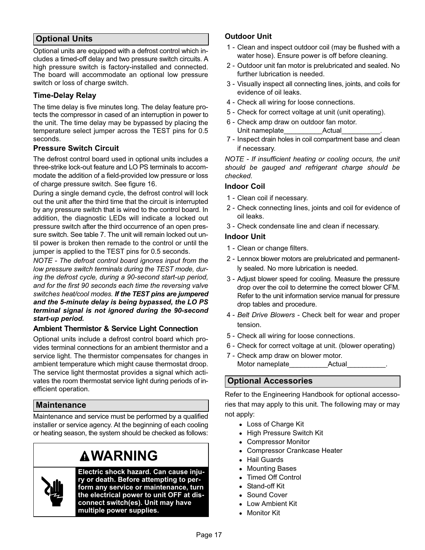### Optional Units

Optional units are equipped with a defrost control which includes a timed−off delay and two pressure switch circuits. A high pressure switch is factory−installed and connected. The board will accommodate an optional low pressure switch or loss of charge switch.

### Time−Delay Relay

The time delay is five minutes long. The delay feature protects the compressor in cased of an interruption in power to the unit. The time delay may be bypassed by placing the temperature select jumper across the TEST pins for 0.5 seconds.

### Pressure Switch Circuit

The defrost control board used in optional units includes a three−strike lock−out feature and LO PS terminals to accommodate the addition of a field−provided low pressure or loss of charge pressure switch. See figure [16.](#page-15-0)

During a single demand cycle, the defrost control will lock out the unit after the third time that the circuit is interrupted by any pressure switch that is wired to the control board. In addition, the diagnostic LEDs will indicate a locked out pressure switch after the third occurrence of an open pressure switch. See table [7.](#page-15-0) The unit will remain locked out until power is broken then remade to the control or until the jumper is applied to the TEST pins for 0.5 seconds.

NOTE − The defrost control board ignores input from the low pressure switch terminals during the TEST mode, during the defrost cycle, during a 90−second start−up period, and for the first 90 seconds each time the reversing valve switches heat/cool modes. If the TEST pins are jumpered and the 5−minute delay is being bypassed, the LO PS terminal signal is not ignored during the 90−second start−up period.

### Ambient Thermistor & Service Light Connection

Optional units include a defrost control board which provides terminal connections for an ambient thermistor and a service light. The thermistor compensates for changes in ambient temperature which might cause thermostat droop. The service light thermostat provides a signal which activates the room thermostat service light during periods of inefficient operation.

### Maintenance

Maintenance and service must be performed by a qualified installer or service agency. At the beginning of each cooling or heating season, the system should be checked as follows:

## **AWARNING**

Electric shock hazard. Can cause injury or death. Before attempting to perform any service or maintenance, turn the electrical power to unit OFF at disconnect switch(es). Unit may have multiple power supplies.

### Outdoor Unit

- 1 − Clean and inspect outdoor coil (may be flushed with a water hose). Ensure power is off before cleaning.
- 2 − Outdoor unit fan motor is prelubricated and sealed. No further lubrication is needed.
- 3 − Visually inspect all connecting lines, joints, and coils for evidence of oil leaks.
- 4 − Check all wiring for loose connections.
- 5 − Check for correct voltage at unit (unit operating).
- 6 − Check amp draw on outdoor fan motor. Unit nameplate The Actual
- 7 Inspect drain holes in coil compartment base and clean if necessary.

NOTE - If insufficient heating or cooling occurs, the unit should be gauged and refrigerant charge should be checked.

### Indoor Coil

- 1 − Clean coil if necessary.
- 2 − Check connecting lines, joints and coil for evidence of oil leaks.
- 3 − Check condensate line and clean if necessary.

#### Indoor Unit

- 1 Clean or change filters.
- 2 Lennox blower motors are prelubricated and permanently sealed. No more lubrication is needed.
- 3 − Adjust blower speed for cooling. Measure the pressure drop over the coil to determine the correct blower CFM. Refer to the unit information service manual for pressure drop tables and procedure.
- 4 − Belt Drive Blowers − Check belt for wear and proper tension.
- 5 Check all wiring for loose connections.
- 6 − Check for correct voltage at unit. (blower operating)
- 7 − Check amp draw on blower motor. Motor nameplate\_\_\_\_\_\_\_\_\_\_\_\_\_\_\_\_\_\_\_\_\_Actual\_

### Optional Accessories

Refer to the Engineering Handbook for optional accessories that may apply to this unit. The following may or may not apply:

- Loss of Charge Kit
- High Pressure Switch Kit
- Compressor Monitor
- Compressor Crankcase Heater
- Hail Guards
- Mounting Bases
- Timed Off Control
- Stand−off Kit
- Sound Cover
- Low Ambient Kit
- Monitor Kit